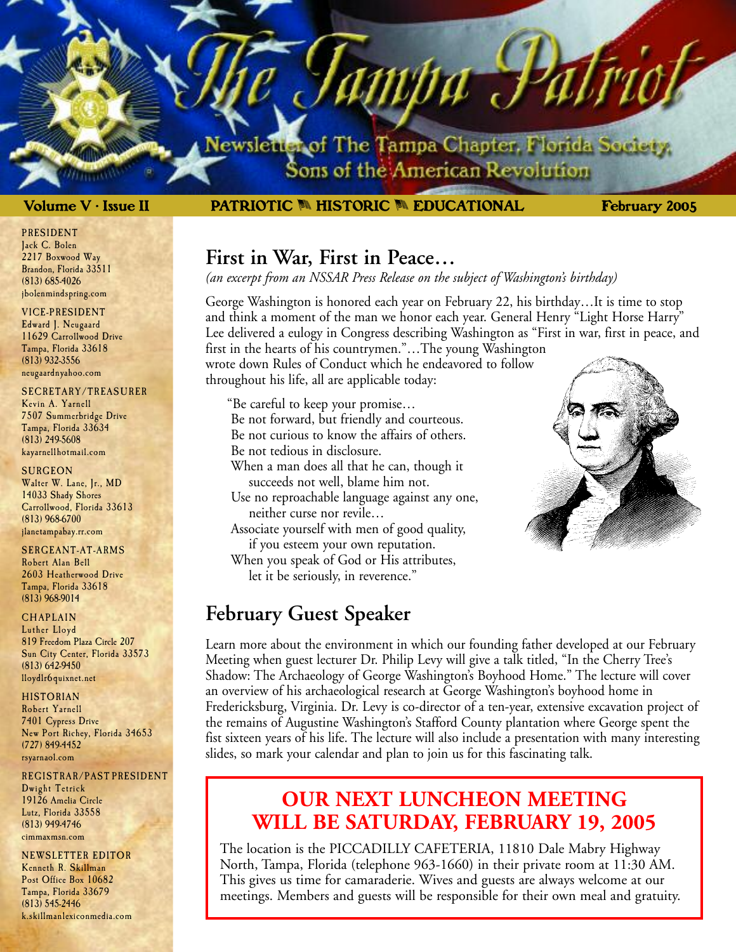lewsletter of The Tampa Chapter, Florida Society. Sons of the American Revolution

ampa J

### **Volume V • Issue II February 2005 PATRIOTIC** M **HISTORIC** M **EDUCATIONAL**

### **First in War, First in Peace…**

*(an excerpt from an NSSAR Press Release on the subject of Washington's birthday)*

George Washington is honored each year on February 22, his birthday…It is time to stop and think a moment of the man we honor each year. General Henry "Light Horse Harry" Lee delivered a eulogy in Congress describing Washington as "First in war, first in peace, and first in the hearts of his countrymen."…The young Washington wrote down Rules of Conduct which he endeavored to follow throughout his life, all are applicable today:

"Be careful to keep your promise… Be not forward, but friendly and courteous. Be not curious to know the affairs of others.

Be not tedious in disclosure.

When a man does all that he can, though it succeeds not well, blame him not.

Use no reproachable language against any one, neither curse nor revile…

Associate yourself with men of good quality, if you esteem your own reputation.

When you speak of God or His attributes, let it be seriously, in reverence."

### **February Guest Speaker**

Learn more about the environment in which our founding father developed at our February Meeting when guest lecturer Dr. Philip Levy will give a talk titled, "In the Cherry Tree's Shadow: The Archaeology of George Washington's Boyhood Home." The lecture will cover an overview of his archaeological research at George Washington's boyhood home in Fredericksburg, Virginia. Dr. Levy is co-director of a ten-year, extensive excavation project of the remains of Augustine Washington's Stafford County plantation where George spent the fist sixteen years of his life. The lecture will also include a presentation with many interesting slides, so mark your calendar and plan to join us for this fascinating talk.

### **OUR NEXT LUNCHEON MEETING WILL BE SATURDAY, FEBRUARY 19, 2005**

The location is the PICCADILLY CAFETERIA, 11810 Dale Mabry Highway North, Tampa, Florida (telephone 963-1660) in their private room at 11:30 AM. This gives us time for camaraderie. Wives and guests are always welcome at our meetings. Members and guests will be responsible for their own meal and gratuity.

PRESIDENT Jack C. Bolen 2217 Boxwood Way Brandon, Florida 33511 (813) 685-4026 jbolenmindspring.com

VICE-PRESIDENT

Edward J. Neugaard 11629 Carrollwood Drive Tampa, Florida 33618 (813) 932-3556 neugaardnyahoo.com

#### SECRETARY/TREASURER

Kevin A. Yarnell 7507 Summerbridge Drive Tampa, Florida 33634 (813) 249-5608 kayarnellhotmail.com

#### **SURGEON**

Walter W. Lane, Jr., MD 14033 Shady Shores Carrollwood, Florida 33613 (813) 968-6700 jlanetampabay.rr.com

#### SERGEANT-AT-ARMS

Robert Alan Bell 2603 Heatherwood Drive Tampa, Florida 33618 (813) 968-9014

#### **CHAPLAIN**

Luther Lloyd 819 Freedom Plaza Circle 207 Sun City Center, Florida 33573 (813) 642-9450 lloydlr6 quixnet.net

#### HISTORIAN

Robert Yarnell 7401 Cypress Drive New Port Richey, Florida 34653 (727) 849-4452 rsyarnaol.com

#### REGISTRAR/PAST PRESIDENT Dwight Tetrick 19126 Amelia Circle Lutz, Florida 33558 (813) 949-4746 cimmaxmsn.com

NEWSLETTER EDITOR Kenneth R. Skillman Post Office Box 10682 Tampa, Florida 33679 (813) 545-2446 k.skillmanlexiconmedia.com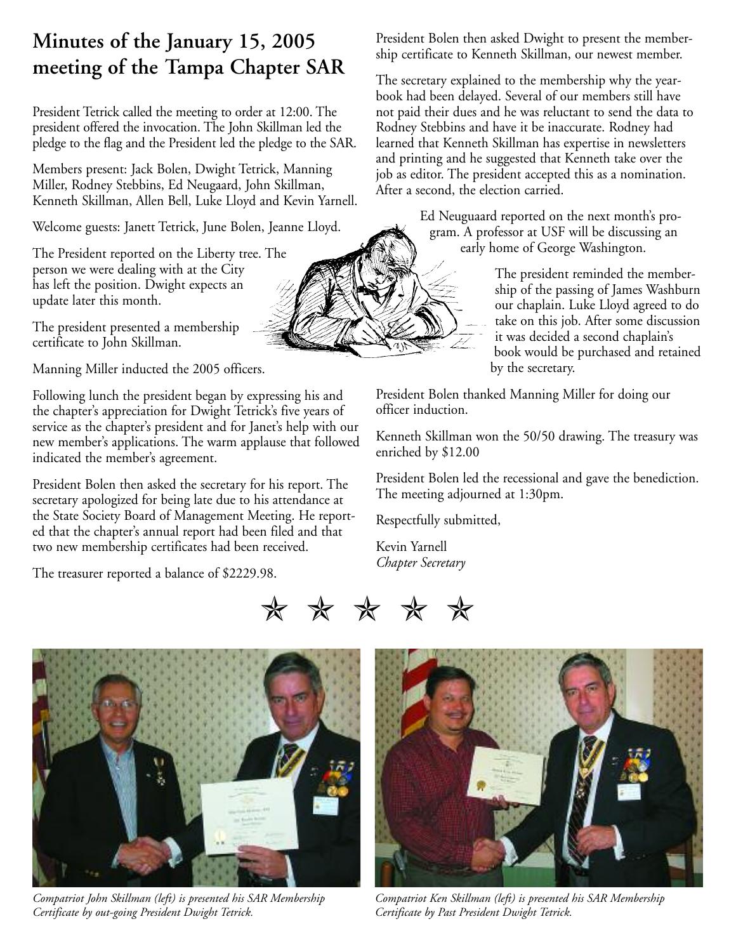# **Minutes of the January 15, 2005 meeting of the Tampa Chapter SAR**

President Tetrick called the meeting to order at 12:00. The president offered the invocation. The John Skillman led the pledge to the flag and the President led the pledge to the SAR.

Members present: Jack Bolen, Dwight Tetrick, Manning Miller, Rodney Stebbins, Ed Neugaard, John Skillman, Kenneth Skillman, Allen Bell, Luke Lloyd and Kevin Yarnell.

Welcome guests: Janett Tetrick, June Bolen, Jeanne Lloyd.

The President reported on the Liberty tree. The person we were dealing with at the City has left the position. Dwight expects an update later this month.

The president presented a membership certificate to John Skillman.

Manning Miller inducted the 2005 officers.

Following lunch the president began by expressing his and the chapter's appreciation for Dwight Tetrick's five years of service as the chapter's president and for Janet's help with our new member's applications. The warm applause that followed indicated the member's agreement.

President Bolen then asked the secretary for his report. The secretary apologized for being late due to his attendance at the State Society Board of Management Meeting. He reported that the chapter's annual report had been filed and that two new membership certificates had been received.

The treasurer reported a balance of \$2229.98.

President Bolen then asked Dwight to present the membership certificate to Kenneth Skillman, our newest member.

The secretary explained to the membership why the yearbook had been delayed. Several of our members still have not paid their dues and he was reluctant to send the data to Rodney Stebbins and have it be inaccurate. Rodney had learned that Kenneth Skillman has expertise in newsletters and printing and he suggested that Kenneth take over the job as editor. The president accepted this as a nomination. After a second, the election carried.

> Ed Neuguaard reported on the next month's program. A professor at USF will be discussing an early home of George Washington.

> > The president reminded the membership of the passing of James Washburn our chaplain. Luke Lloyd agreed to do take on this job. After some discussion it was decided a second chaplain's book would be purchased and retained by the secretary.

President Bolen thanked Manning Miller for doing our officer induction.

Kenneth Skillman won the 50/50 drawing. The treasury was enriched by \$12.00

President Bolen led the recessional and gave the benediction. The meeting adjourned at 1:30pm.

Respectfully submitted,

Kevin Yarnell *Chapter Secretary*





*Compatriot John Skillman (left) is presented his SAR Membership Certificate by out-going President Dwight Tetrick.*



*Compatriot Ken Skillman (left) is presented his SAR Membership Certificate by Past President Dwight Tetrick.*

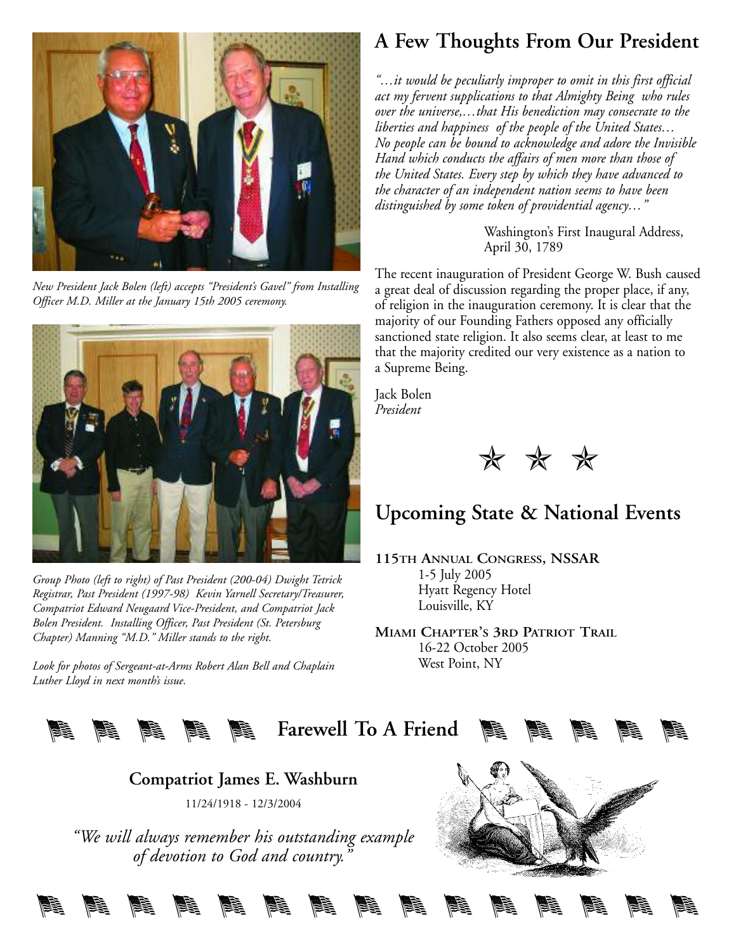

*New President Jack Bolen (left) accepts "President's Gavel" from Installing Officer M.D. Miller at the January 15th 2005 ceremony.*



*Group Photo (left to right) of Past President (200-04) Dwight Tetrick Registrar, Past President (1997-98) Kevin Yarnell Secretary/Treasurer, Compatriot Edward Neugaard Vice-President, and Compatriot Jack Bolen President. Installing Officer, Past President (St. Petersburg Chapter) Manning "M.D." Miller stands to the right.*

*Look for photos of Sergeant-at-Arms Robert Alan Bell and Chaplain Luther Lloyd in next month's issue.*

# **A Few Thoughts From Our President**

*"…it would be peculiarly improper to omit in this first official act my fervent supplications to that Almighty Being who rules over the universe,…that His benediction may consecrate to the liberties and happiness of the people of the United States… No people can be bound to acknowledge and adore the Invisible Hand which conducts the affairs of men more than those of the United States. Every step by which they have advanced to the character of an independent nation seems to have been distinguished by some token of providential agency…"*

> Washington's First Inaugural Address, April 30, 1789

The recent inauguration of President George W. Bush caused a great deal of discussion regarding the proper place, if any, of religion in the inauguration ceremony. It is clear that the majority of our Founding Fathers opposed any officially sanctioned state religion. It also seems clear, at least to me that the majority credited our very existence as a nation to a Supreme Being.

Jack Bolen *President*



# **Upcoming State & National Events**

**115TH ANNUAL CONGRESS, NSSAR** 1-5 July 2005 Hyatt Regency Hotel Louisville, KY

**MIAMI CHAPTER'S 3RD PATRIOT TRAIL** 16-22 October 2005 West Point, NY



**Compatriot James E. Washburn** 11/24/1918 - 12/3/2004

*"We will always remember his outstanding example of devotion to God and country."*

MMMMMMMMMMMMMMM